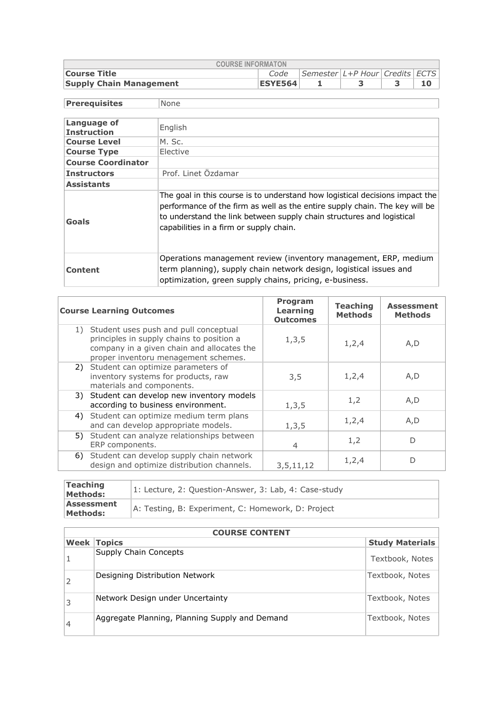| <b>COURSE INFORMATON</b>       |                |                                                           |  |  |  |  |  |  |  |  |
|--------------------------------|----------------|-----------------------------------------------------------|--|--|--|--|--|--|--|--|
| <b>Course Title</b>            | Code           | $\Box$ Semester $\bot$ +P Hour $\Box$ Credits $\Box$ ECTS |  |  |  |  |  |  |  |  |
| <b>Supply Chain Management</b> | <b>ESYE564</b> |                                                           |  |  |  |  |  |  |  |  |

 $\overline{\phantom{a}}$ 

| <b>Prerequisites</b>              | None                                                                                                                                                                                                                                                                            |
|-----------------------------------|---------------------------------------------------------------------------------------------------------------------------------------------------------------------------------------------------------------------------------------------------------------------------------|
|                                   |                                                                                                                                                                                                                                                                                 |
| Language of<br><b>Instruction</b> | English                                                                                                                                                                                                                                                                         |
| <b>Course Level</b>               | M. Sc.                                                                                                                                                                                                                                                                          |
| <b>Course Type</b>                | Elective                                                                                                                                                                                                                                                                        |
| <b>Course Coordinator</b>         |                                                                                                                                                                                                                                                                                 |
| <b>Instructors</b>                | Prof. Linet Özdamar                                                                                                                                                                                                                                                             |
| <b>Assistants</b>                 |                                                                                                                                                                                                                                                                                 |
| Goals                             | The goal in this course is to understand how logistical decisions impact the<br>performance of the firm as well as the entire supply chain. The key will be<br>to understand the link between supply chain structures and logistical<br>capabilities in a firm or supply chain. |
| Content                           | Operations management review (inventory management, ERP, medium<br>term planning), supply chain network design, logistical issues and<br>optimization, green supply chains, pricing, e-business.                                                                                |

| <b>Course Learning Outcomes</b>                                                                                                                                             | Program<br>Learning<br><b>Outcomes</b> | <b>Teaching</b><br><b>Methods</b> | <b>Assessment</b><br><b>Methods</b> |
|-----------------------------------------------------------------------------------------------------------------------------------------------------------------------------|----------------------------------------|-----------------------------------|-------------------------------------|
| 1) Student uses push and pull conceptual<br>principles in supply chains to position a<br>company in a given chain and allocates the<br>proper inventoru menagement schemes. | 1, 3, 5                                | 1, 2, 4                           | A,D                                 |
| 2) Student can optimize parameters of<br>inventory systems for products, raw<br>materials and components.                                                                   | 3,5                                    | 1,2,4                             | A, D                                |
| 3) Student can develop new inventory models<br>according to business environment.                                                                                           | 1, 3, 5                                | 1,2                               | A, D                                |
| 4) Student can optimize medium term plans<br>and can develop appropriate models.                                                                                            | 1, 3, 5                                | 1,2,4                             | A, D                                |
| Student can analyze relationships between<br>5)<br>ERP components.                                                                                                          | 4                                      | 1,2                               | D                                   |
| 6) Student can develop supply chain network<br>design and optimize distribution channels.                                                                                   | 3,5,11,12                              | 1,2,4                             | D                                   |
|                                                                                                                                                                             |                                        |                                   |                                     |

| <b>Teaching</b><br><b>Methods:</b> | 1: Lecture, 2: Question-Answer, 3: Lab, 4: Case-study |
|------------------------------------|-------------------------------------------------------|
| Assessment<br><b>Methods:</b>      | A: Testing, B: Experiment, C: Homework, D: Project    |

|      | <b>COURSE CONTENT</b>                          |                        |  |  |  |  |  |
|------|------------------------------------------------|------------------------|--|--|--|--|--|
| Week | <b>Topics</b>                                  | <b>Study Materials</b> |  |  |  |  |  |
|      | Supply Chain Concepts                          | Textbook, Notes        |  |  |  |  |  |
|      | Designing Distribution Network                 | Textbook, Notes        |  |  |  |  |  |
| 3    | Network Design under Uncertainty               | Textbook, Notes        |  |  |  |  |  |
| 4    | Aggregate Planning, Planning Supply and Demand | Textbook, Notes        |  |  |  |  |  |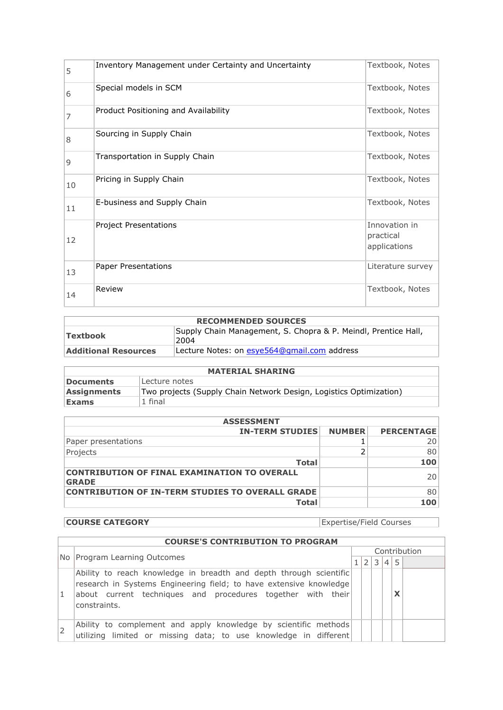| 5  | Inventory Management under Certainty and Uncertainty | Textbook, Notes                            |
|----|------------------------------------------------------|--------------------------------------------|
| 6  | Special models in SCM                                | Textbook, Notes                            |
| 7  | Product Positioning and Availability                 | Textbook, Notes                            |
| 8  | Sourcing in Supply Chain                             | Textbook, Notes                            |
| 9  | Transportation in Supply Chain                       | Textbook, Notes                            |
| 10 | Pricing in Supply Chain                              | Textbook, Notes                            |
| 11 | E-business and Supply Chain                          | Textbook, Notes                            |
| 12 | <b>Project Presentations</b>                         | Innovation in<br>practical<br>applications |
| 13 | <b>Paper Presentations</b>                           | Literature survey                          |
| 14 | Review                                               | Textbook, Notes                            |

## **RECOMMENDED SOURCES Textbook** Supply Chain Management, S. Chopra & P. Meindl, Prentice Hall, 2004 **Additional Resources** Lecture Notes: on [esye564@gmail.com](mailto:esye564@gmail.com) address

| <b>MATERIAL SHARING</b> |                                                                    |  |  |  |  |  |
|-------------------------|--------------------------------------------------------------------|--|--|--|--|--|
| <b>Documents</b>        | Lecture notes                                                      |  |  |  |  |  |
| <b>Assignments</b>      | Two projects (Supply Chain Network Design, Logistics Optimization) |  |  |  |  |  |
| <b>Exams</b>            | 1 final                                                            |  |  |  |  |  |

| <b>ASSESSMENT</b>                                                   |               |                   |  |  |  |  |
|---------------------------------------------------------------------|---------------|-------------------|--|--|--|--|
| <b>IN-TERM STUDIES</b>                                              | <b>NUMBER</b> | <b>PERCENTAGE</b> |  |  |  |  |
| Paper presentations                                                 |               | 20                |  |  |  |  |
| Projects                                                            |               | 80                |  |  |  |  |
| <b>Total</b>                                                        |               | 100               |  |  |  |  |
| <b>CONTRIBUTION OF FINAL EXAMINATION TO OVERALL</b><br><b>GRADE</b> |               | 20                |  |  |  |  |
| <b>CONTRIBUTION OF IN-TERM STUDIES TO OVERALL GRADE</b>             |               | 80                |  |  |  |  |
| Total                                                               |               | 100               |  |  |  |  |

**COURSE CATEGORY** Expertise/Field Courses

|   | <b>COURSE'S CONTRIBUTION TO PROGRAM</b>                                                                                                                                                                                 |  |              |   |                |              |  |
|---|-------------------------------------------------------------------------------------------------------------------------------------------------------------------------------------------------------------------------|--|--------------|---|----------------|--------------|--|
|   |                                                                                                                                                                                                                         |  | Contribution |   |                |              |  |
|   | No Program Learning Outcomes                                                                                                                                                                                            |  |              | 3 | $\overline{4}$ | 5            |  |
| 1 | Ability to reach knowledge in breadth and depth through scientific<br>research in Systems Engineering field; to have extensive knowledge<br>about current techniques and procedures together with their<br>constraints. |  |              |   |                | $\checkmark$ |  |
|   | Ability to complement and apply knowledge by scientific methods<br>utilizing limited or missing data; to use knowledge in different                                                                                     |  |              |   |                |              |  |